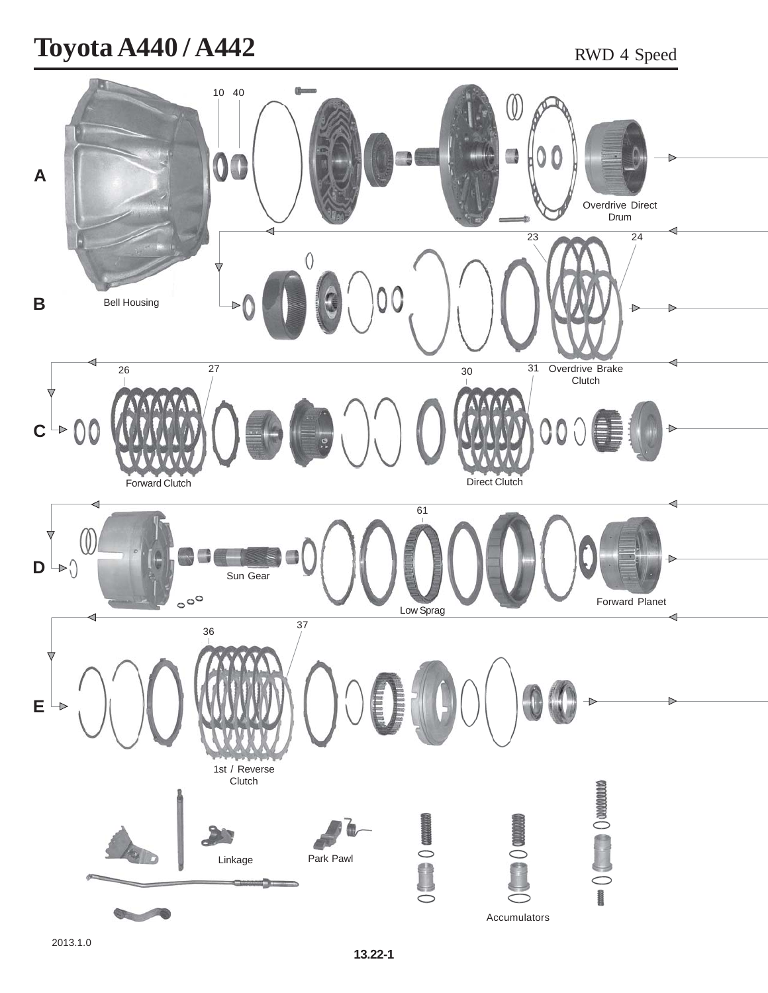## **Toyota A440 / A442** RWD 4 Speed

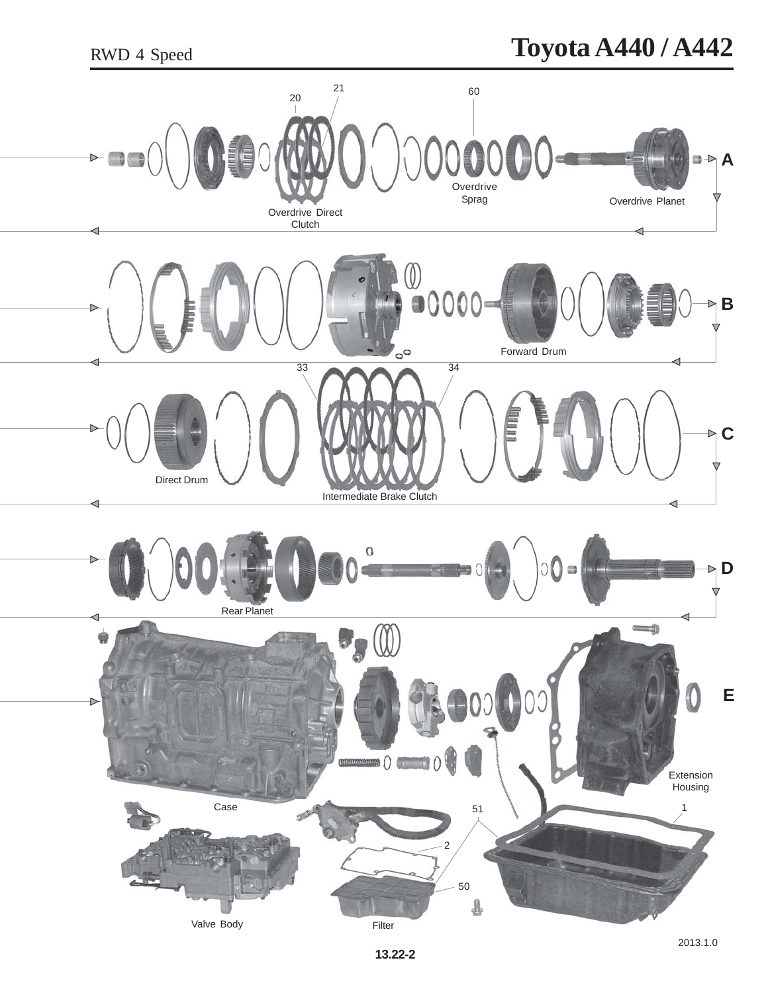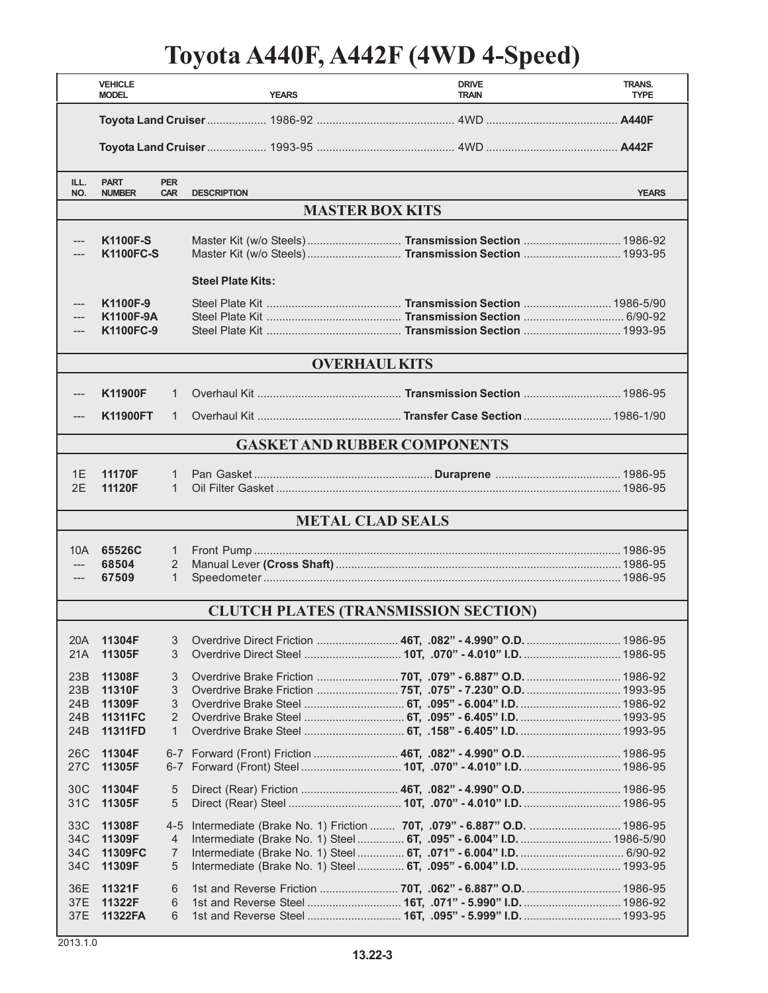## **Toyota A440F, A442F (4WD 4-Speed)**

|                                             | <b>VEHICLE</b><br><b>MODEL</b>                          |                                     | <b>YEARS</b>             | <b>DRIVE</b><br><b>TRAIN</b>                                                                                                                   | <b>TRANS.</b><br><b>TYPE</b> |  |  |
|---------------------------------------------|---------------------------------------------------------|-------------------------------------|--------------------------|------------------------------------------------------------------------------------------------------------------------------------------------|------------------------------|--|--|
|                                             |                                                         |                                     |                          |                                                                                                                                                |                              |  |  |
|                                             |                                                         |                                     |                          |                                                                                                                                                |                              |  |  |
| ILL.<br>NO.                                 | <b>PART</b><br><b>NUMBER</b>                            | <b>PER</b><br><b>CAR</b>            | <b>DESCRIPTION</b>       |                                                                                                                                                | <b>YEARS</b>                 |  |  |
| <b>MASTER BOX KITS</b>                      |                                                         |                                     |                          |                                                                                                                                                |                              |  |  |
|                                             | <b>K1100F-S</b><br><b>K1100FC-S</b>                     |                                     |                          | Master Kit (w/o Steels)  Transmission Section  1986-92<br>Master Kit (w/o Steels)  Transmission Section  1993-95                               |                              |  |  |
|                                             |                                                         |                                     | <b>Steel Plate Kits:</b> |                                                                                                                                                |                              |  |  |
|                                             | K1100F-9<br>K1100F-9A<br>K1100FC-9                      |                                     |                          |                                                                                                                                                |                              |  |  |
| <b>OVERHAUL KITS</b>                        |                                                         |                                     |                          |                                                                                                                                                |                              |  |  |
|                                             | <b>K11900F</b>                                          | $\mathbf{1}$                        |                          |                                                                                                                                                |                              |  |  |
|                                             | <b>K11900FT</b>                                         | 1                                   |                          |                                                                                                                                                |                              |  |  |
| <b>GASKET AND RUBBER COMPONENTS</b>         |                                                         |                                     |                          |                                                                                                                                                |                              |  |  |
| 1E<br>2F                                    | 11170F<br>11120F                                        | 1<br>$\mathbf{1}$                   |                          |                                                                                                                                                |                              |  |  |
| <b>METAL CLAD SEALS</b>                     |                                                         |                                     |                          |                                                                                                                                                |                              |  |  |
| 10A<br>---                                  | 65526C<br>68504<br>67509                                | 1<br>2<br>$\mathbf{1}$              |                          |                                                                                                                                                |                              |  |  |
| <b>CLUTCH PLATES (TRANSMISSION SECTION)</b> |                                                         |                                     |                          |                                                                                                                                                |                              |  |  |
| 20A<br>21A                                  | 11304F<br>11305F                                        | 3<br>3                              |                          | Overdrive Direct Friction  46T, .082" - 4.990" O.D.  1986-95                                                                                   |                              |  |  |
| 23B<br>23B<br>24B<br>24B<br>24B             | 11308F<br>11310F<br>11309F<br><b>11311FC</b><br>11311FD | 3<br>3<br>3<br>2<br>$\mathbf{1}$    |                          | Overdrive Brake Friction  75T, .075" - 7.230" O.D.  1993-95<br>Overdrive Brake Steel  6T, .095" - 6.405" I.D.  1993-95                         |                              |  |  |
| 26C<br>27C                                  | 11304F<br>11305F                                        |                                     |                          |                                                                                                                                                |                              |  |  |
| 30C<br>31C                                  | 11304F<br>11305F                                        | 5<br>$\overline{5}$                 |                          |                                                                                                                                                |                              |  |  |
| 33C<br>34C<br>34C<br>34C                    | 11308F<br>11309F<br>11309FC<br>11309F                   | $4 - 5$<br>4<br>$\overline{7}$<br>5 |                          | Intermediate (Brake No. 1) Friction  70T, .079" - 6.887" O.D.  1986-95<br>Intermediate (Brake No. 1) Steel  6T, .095" - 6.004" I.D.  1986-5/90 |                              |  |  |
| 36E<br>37E<br>37E                           | 11321F<br>11322F<br>11322FA                             | 6<br>6<br>6                         |                          |                                                                                                                                                |                              |  |  |